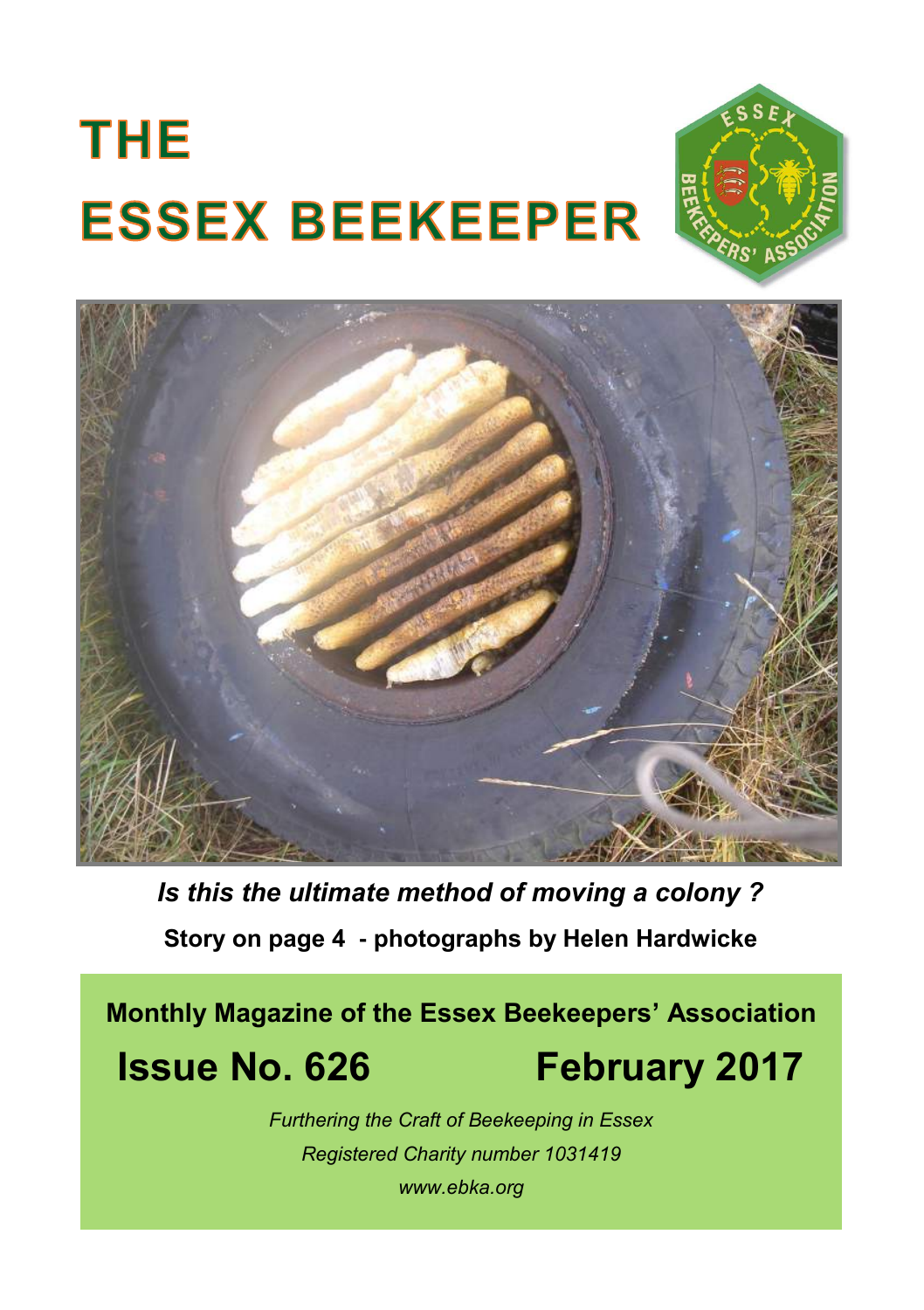# **THE ESSEX BEEKEEPER**





*Photograph by Jean Smye Is this the ultimate method of moving a colony ?*  **Story on page 4 - photographs by Helen Hardwicke**

**Monthly Magazine of the Essex Beekeepers' Association Issue No. 626 February 2017** 

## *Furthering the Craft of Beekeeping in Essex Registered Charity number 1031419 www.ebka.org*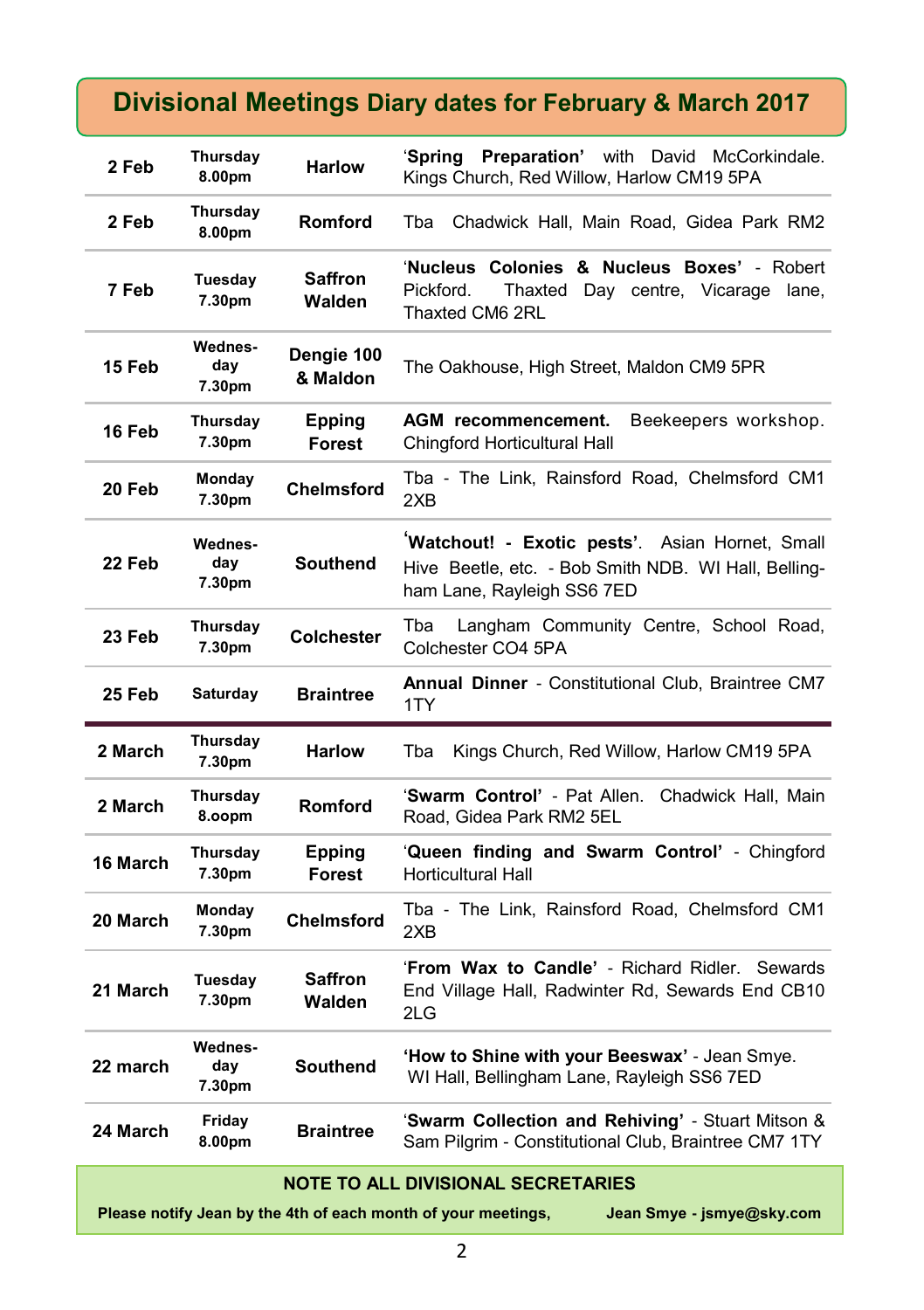### **Divisional Meetings Diary dates for February & March 2017**

| 2 Feb    | Thursday<br>8.00pm       | <b>Harlow</b>                  | ʻSpring<br><b>Preparation'</b> with David McCorkindale.<br>Kings Church, Red Willow, Harlow CM19 5PA                                 |  |  |
|----------|--------------------------|--------------------------------|--------------------------------------------------------------------------------------------------------------------------------------|--|--|
| 2 Feb    | Thursday<br>8.00pm       | <b>Romford</b>                 | Chadwick Hall, Main Road, Gidea Park RM2<br>Tba                                                                                      |  |  |
| 7 Feb    | Tuesday<br>7.30pm        | <b>Saffron</b><br>Walden       | 'Nucleus Colonies & Nucleus Boxes' - Robert<br>Pickford.<br>Thaxted Day centre, Vicarage lane,<br>Thaxted CM6 2RL                    |  |  |
| 15 Feb   | Wednes-<br>day<br>7.30pm | Dengie 100<br>& Maldon         | The Oakhouse, High Street, Maldon CM9 5PR                                                                                            |  |  |
| 16 Feb   | Thursday<br>7.30pm       | <b>Epping</b><br><b>Forest</b> | AGM recommencement.<br>Beekeepers workshop.<br>Chingford Horticultural Hall                                                          |  |  |
| 20 Feb   | Monday<br>7.30pm         | <b>Chelmsford</b>              | Tba - The Link, Rainsford Road, Chelmsford CM1<br>2XB                                                                                |  |  |
| 22 Feb   | Wednes-<br>day<br>7.30pm | <b>Southend</b>                | Watchout! - Exotic pests'. Asian Hornet, Small<br>Hive Beetle, etc. - Bob Smith NDB. WI Hall, Belling-<br>ham Lane, Rayleigh SS6 7ED |  |  |
| 23 Feb   | Thursday<br>7.30pm       | <b>Colchester</b>              | Langham Community Centre, School Road,<br>Tba<br>Colchester CO4 5PA                                                                  |  |  |
|          |                          |                                | Annual Dinner - Constitutional Club, Braintree CM7                                                                                   |  |  |
| 25 Feb   | Saturday                 | <b>Braintree</b>               | 1TY                                                                                                                                  |  |  |
| 2 March  | Thursday<br>7.30pm       | <b>Harlow</b>                  | Tba<br>Kings Church, Red Willow, Harlow CM19 5PA                                                                                     |  |  |
| 2 March  | Thursday<br>8.00pm       | <b>Romford</b>                 | 'Swarm Control' - Pat Allen. Chadwick Hall, Main<br>Road, Gidea Park RM2 5EL                                                         |  |  |
| 16 March | Thursday<br>7.30pm       | Epping<br>Forest               | 'Queen finding and Swarm Control' - Chingford<br><b>Horticultural Hall</b>                                                           |  |  |
| 20 March | Monday<br>7.30pm         | <b>Chelmsford</b>              | Tba - The Link, Rainsford Road, Chelmsford CM1<br>2XB                                                                                |  |  |
| 21 March | Tuesday<br>7.30pm        | <b>Saffron</b><br>Walden       | 'From Wax to Candle' - Richard Ridler. Sewards<br>End Village Hall, Radwinter Rd, Sewards End CB10<br>2LG                            |  |  |
| 22 march | Wednes-<br>day<br>7.30pm | <b>Southend</b>                | 'How to Shine with your Beeswax' Jean Smye.<br>WI Hall, Bellingham Lane, Rayleigh SS6 7ED                                            |  |  |
| 24 March | Friday<br>8.00pm         | <b>Braintree</b>               | 'Swarm Collection and Rehiving' - Stuart Mitson &<br>Sam Pilgrim - Constitutional Club, Braintree CM7 1TY                            |  |  |

#### **NOTE TO ALL DIVISIONAL SECRETARIES**

**Please notify Jean by the 4th of each month of your meetings, Jean Smye - jsmye@sky.com**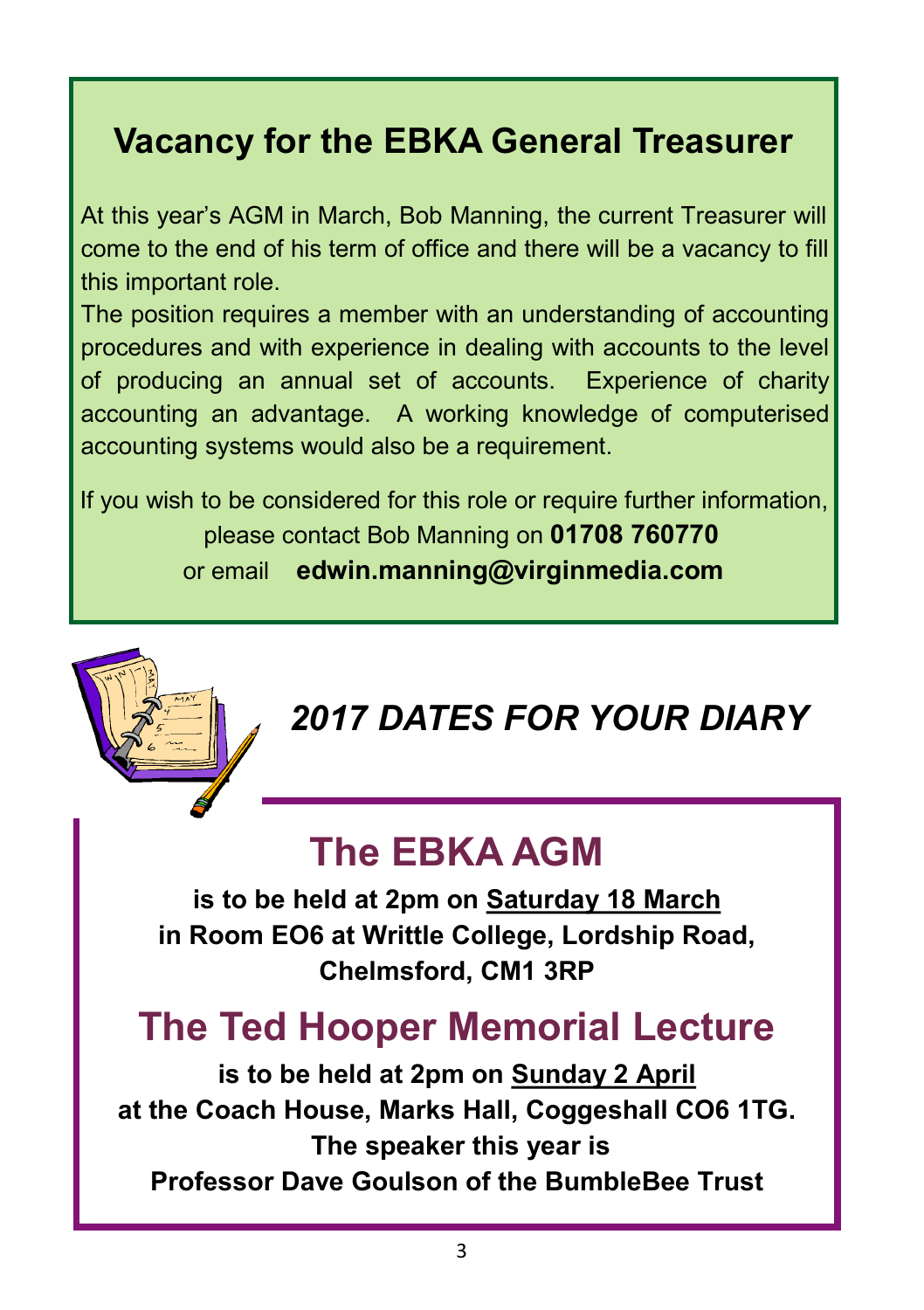# **Vacancy for the EBKA General Treasurer**

At this year's AGM in March, Bob Manning, the current Treasurer will come to the end of his term of office and there will be a vacancy to fill this important role.

The position requires a member with an understanding of accounting procedures and with experience in dealing with accounts to the level of producing an annual set of accounts. Experience of charity accounting an advantage. A working knowledge of computerised accounting systems would also be a requirement.

If you wish to be considered for this role or require further information, please contact Bob Manning on **01708 760770** or email **edwin.manning@virginmedia.com** 

## *2017 DATES FOR YOUR DIARY*

## **The EBKA AGM**

**is to be held at 2pm on Saturday 18 March in Room EO6 at Writtle College, Lordship Road, Chelmsford, CM1 3RP**

## **The Ted Hooper Memorial Lecture**

**is to be held at 2pm on Sunday 2 April at the Coach House, Marks Hall, Coggeshall CO6 1TG. The speaker this year is Professor Dave Goulson of the BumbleBee Trust**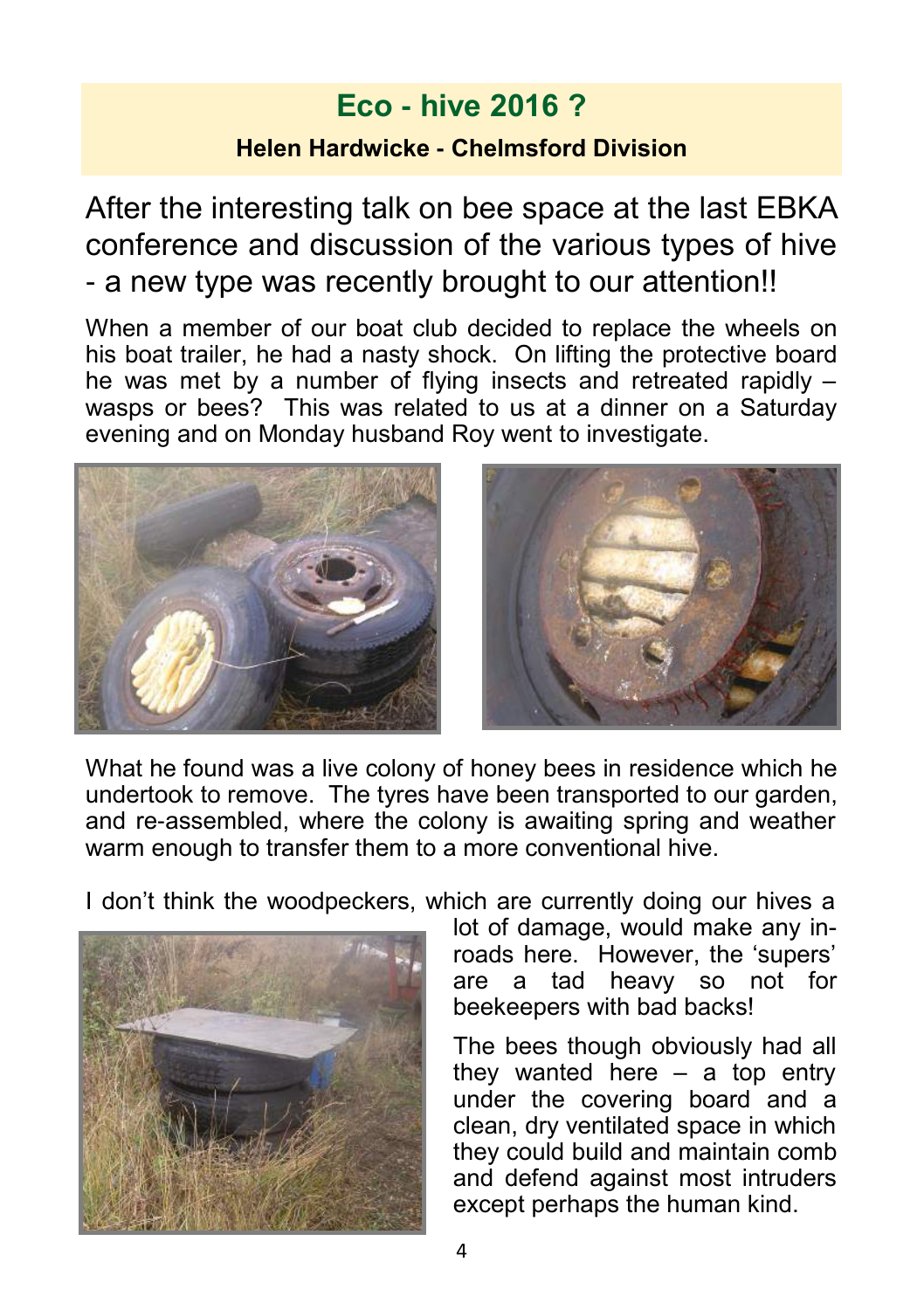## **Eco - hive 2016 ?**

#### **Helen Hardwicke - Chelmsford Division**

After the interesting talk on bee space at the last EBKA conference and discussion of the various types of hive - a new type was recently brought to our attention!!

When a member of our boat club decided to replace the wheels on his boat trailer, he had a nasty shock. On lifting the protective board he was met by a number of flying insects and retreated rapidly – wasps or bees? This was related to us at a dinner on a Saturday evening and on Monday husband Roy went to investigate.



What he found was a live colony of honey bees in residence which he undertook to remove. The tyres have been transported to our garden, and re-assembled, where the colony is awaiting spring and weather warm enough to transfer them to a more conventional hive.

I don't think the woodpeckers, which are currently doing our hives a



lot of damage, would make any inroads here. However, the 'supers' are a tad heavy so not for beekeepers with bad backs!

The bees though obviously had all they wanted here  $-$  a top entry under the covering board and a clean, dry ventilated space in which they could build and maintain comb and defend against most intruders except perhaps the human kind.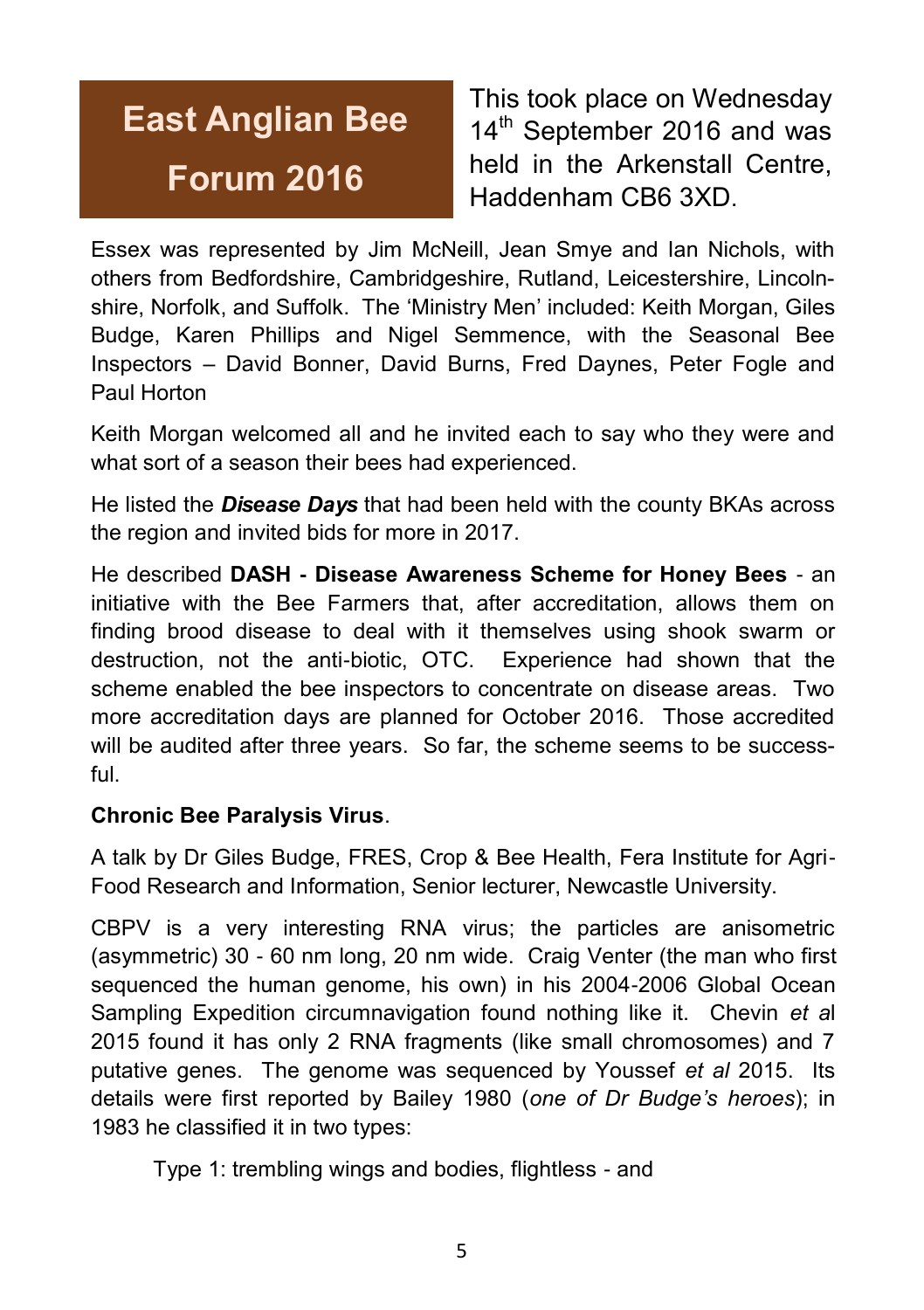# **East Anglian Bee Forum 2016**

This took place on Wednesday 14<sup>th</sup> September 2016 and was held in the Arkenstall Centre, Haddenham CB6 3XD.

Essex was represented by Jim McNeill, Jean Smye and Ian Nichols, with others from Bedfordshire, Cambridgeshire, Rutland, Leicestershire, Lincolnshire, Norfolk, and Suffolk. The 'Ministry Men' included: Keith Morgan, Giles Budge, Karen Phillips and Nigel Semmence, with the Seasonal Bee Inspectors – David Bonner, David Burns, Fred Daynes, Peter Fogle and Paul Horton

Keith Morgan welcomed all and he invited each to say who they were and what sort of a season their bees had experienced.

He listed the *Disease Days* that had been held with the county BKAs across the region and invited bids for more in 2017.

He described **DASH - Disease Awareness Scheme for Honey Bees** - an initiative with the Bee Farmers that, after accreditation, allows them on finding brood disease to deal with it themselves using shook swarm or destruction, not the anti-biotic, OTC. Experience had shown that the scheme enabled the bee inspectors to concentrate on disease areas. Two more accreditation days are planned for October 2016. Those accredited will be audited after three years. So far, the scheme seems to be successful.

#### **Chronic Bee Paralysis Virus**.

A talk by Dr Giles Budge, FRES, Crop & Bee Health, Fera Institute for Agri-Food Research and Information, Senior lecturer, Newcastle University.

CBPV is a very interesting RNA virus; the particles are anisometric (asymmetric) 30 - 60 nm long, 20 nm wide. Craig Venter (the man who first sequenced the human genome, his own) in his 2004-2006 Global Ocean Sampling Expedition circumnavigation found nothing like it. Chevin *et a*l 2015 found it has only 2 RNA fragments (like small chromosomes) and 7 putative genes. The genome was sequenced by Youssef *et al* 2015. Its details were first reported by Bailey 1980 (*one of Dr Budge's heroes*); in 1983 he classified it in two types:

Type 1: trembling wings and bodies, flightless - and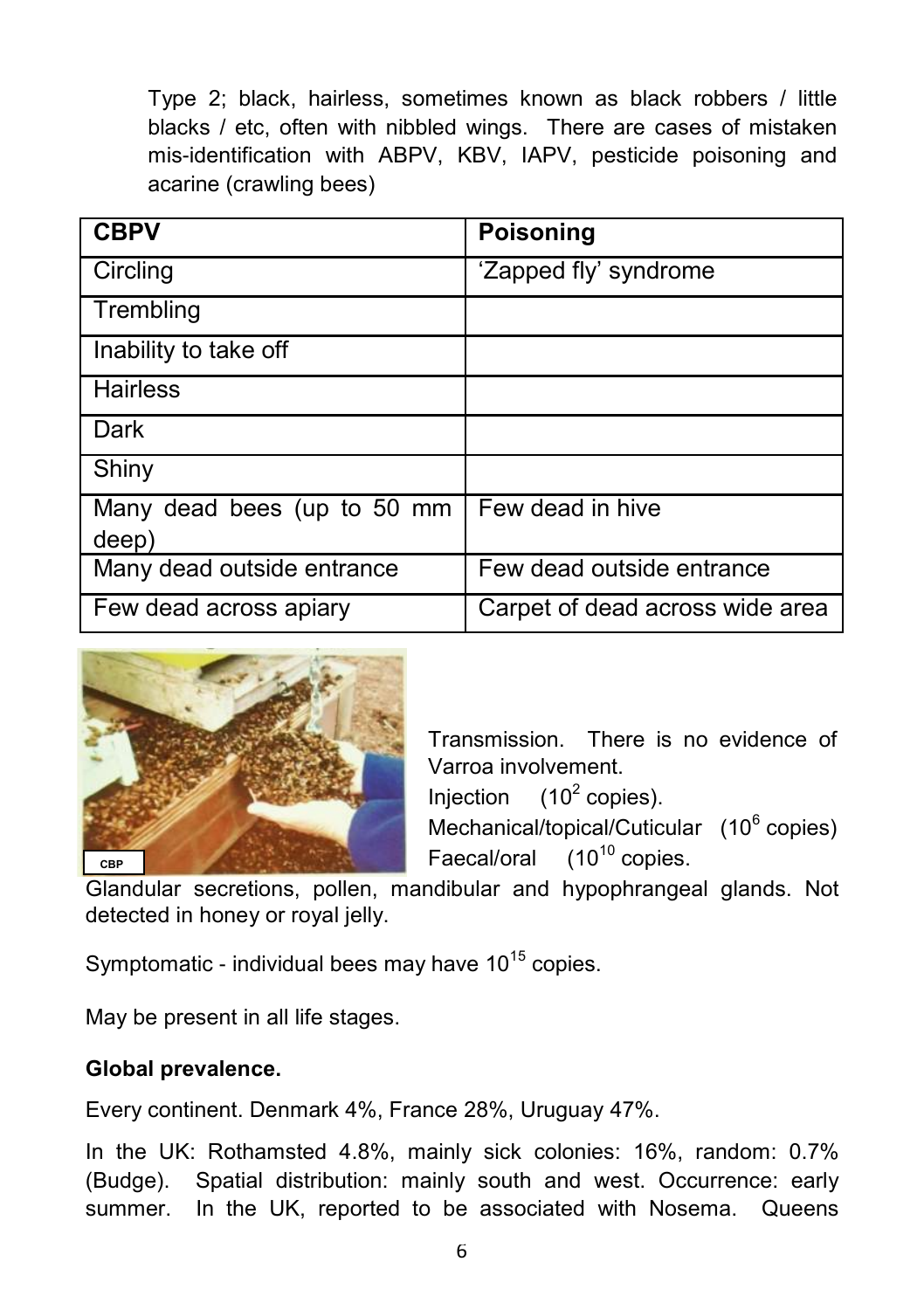Type 2; black, hairless, sometimes known as black robbers / little blacks / etc, often with nibbled wings. There are cases of mistaken mis-identification with ABPV, KBV, IAPV, pesticide poisoning and acarine (crawling bees)

| <b>CBPV</b>                          | <b>Poisoning</b>                |
|--------------------------------------|---------------------------------|
| Circling                             | 'Zapped fly' syndrome           |
| Trembling                            |                                 |
| Inability to take off                |                                 |
| <b>Hairless</b>                      |                                 |
| Dark                                 |                                 |
| Shiny                                |                                 |
| Many dead bees (up to 50 mm<br>deep) | Few dead in hive                |
| Many dead outside entrance           | Few dead outside entrance       |
| Few dead across apiary               | Carpet of dead across wide area |



Transmission. There is no evidence of Varroa involvement.

Injection  $(10^2 \text{ copies}).$ 

Mechanical/topical/Cuticular (10<sup>6</sup> copies) Faecal/oral  $(10^{10}$  copies.

Glandular secretions, pollen, mandibular and hypophrangeal glands. Not detected in honey or royal jelly.

Symptomatic - individual bees may have  $10^{15}$  copies.

May be present in all life stages.

#### **Global prevalence.**

Every continent. Denmark 4%, France 28%, Uruguay 47%.

In the UK: Rothamsted 4.8%, mainly sick colonies: 16%, random: 0.7% (Budge). Spatial distribution: mainly south and west. Occurrence: early summer. In the UK, reported to be associated with Nosema. Queens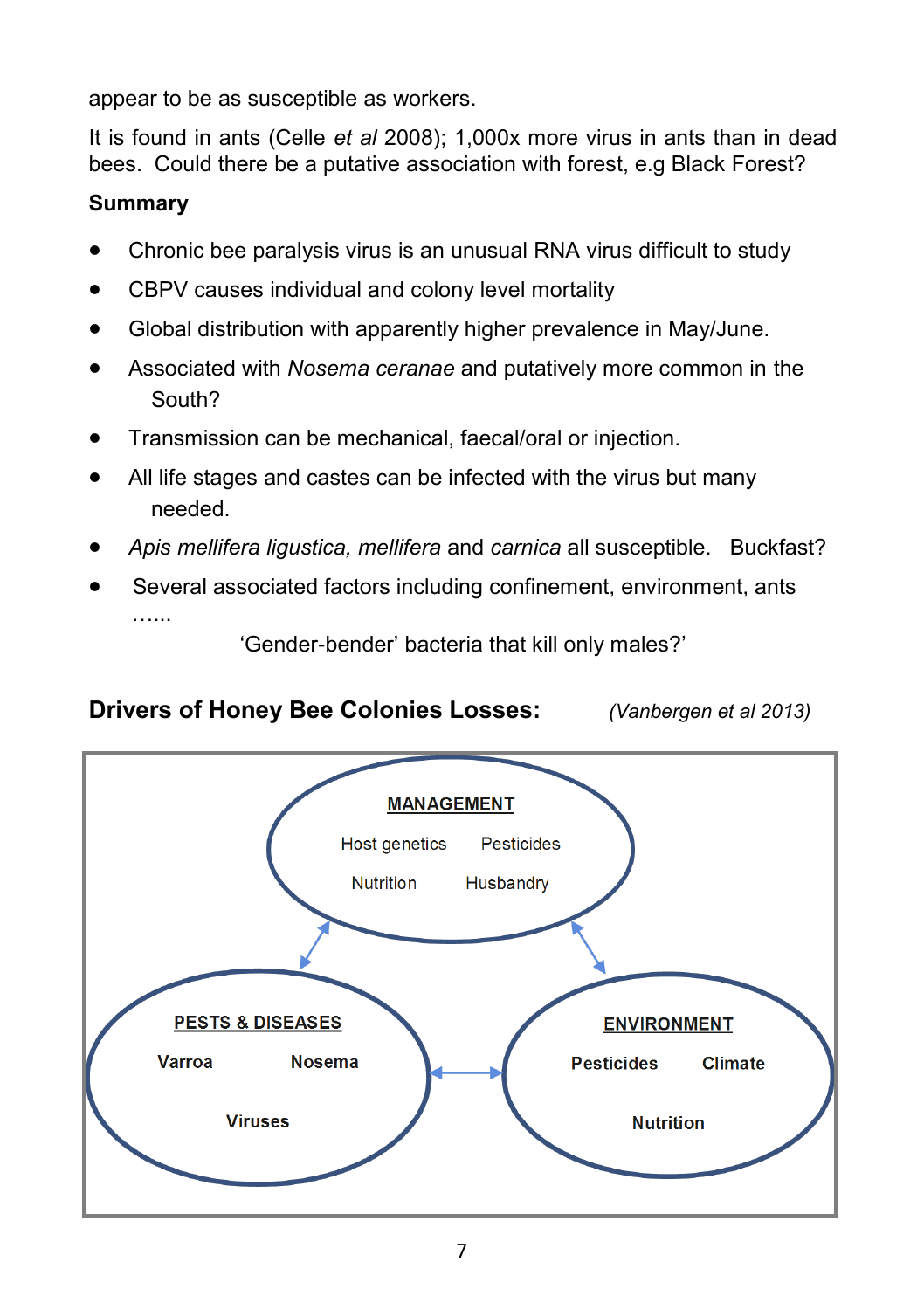appear to be as susceptible as workers.

It is found in ants (Celle *et al* 2008); 1,000x more virus in ants than in dead bees. Could there be a putative association with forest, e.g Black Forest?

#### **Summary**

- Chronic bee paralysis virus is an unusual RNA virus difficult to study
- CBPV causes individual and colony level mortality
- Global distribution with apparently higher prevalence in May/June.
- Associated with *Nosema ceranae* and putatively more common in the South?
- Transmission can be mechanical, faecal/oral or injection.
- All life stages and castes can be infected with the virus but many needed.
- *Apis mellifera ligustica, mellifera* and *carnica* all susceptible. Buckfast?
- Several associated factors including confinement, environment, ants

'Gender-bender' bacteria that kill only males?'

#### **Drivers of Honey Bee Colonies Losses:** *(Vanbergen et al 2013)*

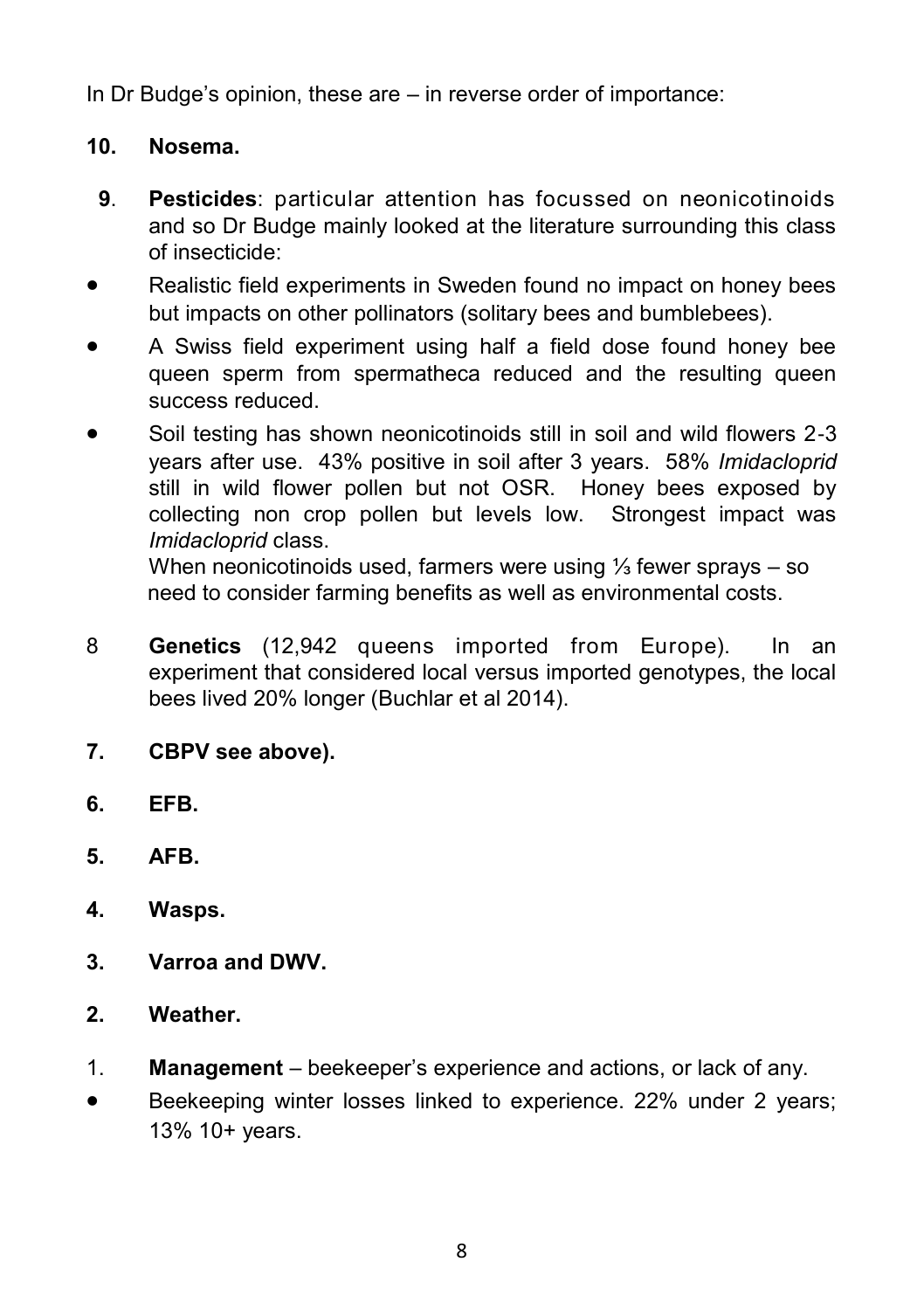In Dr Budge's opinion, these are – in reverse order of importance:

#### **10. Nosema.**

- **9**. **Pesticides**: particular attention has focussed on neonicotinoids and so Dr Budge mainly looked at the literature surrounding this class of insecticide:
- Realistic field experiments in Sweden found no impact on honey bees but impacts on other pollinators (solitary bees and bumblebees).
- A Swiss field experiment using half a field dose found honey bee queen sperm from spermatheca reduced and the resulting queen success reduced.
- Soil testing has shown neonicotinoids still in soil and wild flowers 2-3 years after use. 43% positive in soil after 3 years. 58% *Imidacloprid*  still in wild flower pollen but not OSR. Honey bees exposed by collecting non crop pollen but levels low. Strongest impact was *Imidacloprid* class.

When neonicotinoids used, farmers were using ⅓ fewer sprays – so need to consider farming benefits as well as environmental costs.

- 8 **Genetics** (12,942 queens imported from Europe). In an experiment that considered local versus imported genotypes, the local bees lived 20% longer (Buchlar et al 2014).
- **7. CBPV see above).**
- **6. EFB.**
- **5. AFB.**
- **4. Wasps.**
- **3. Varroa and DWV.**
- **2. Weather.**
- 1. **Management** beekeeper's experience and actions, or lack of any.
- Beekeeping winter losses linked to experience. 22% under 2 years; 13% 10+ years.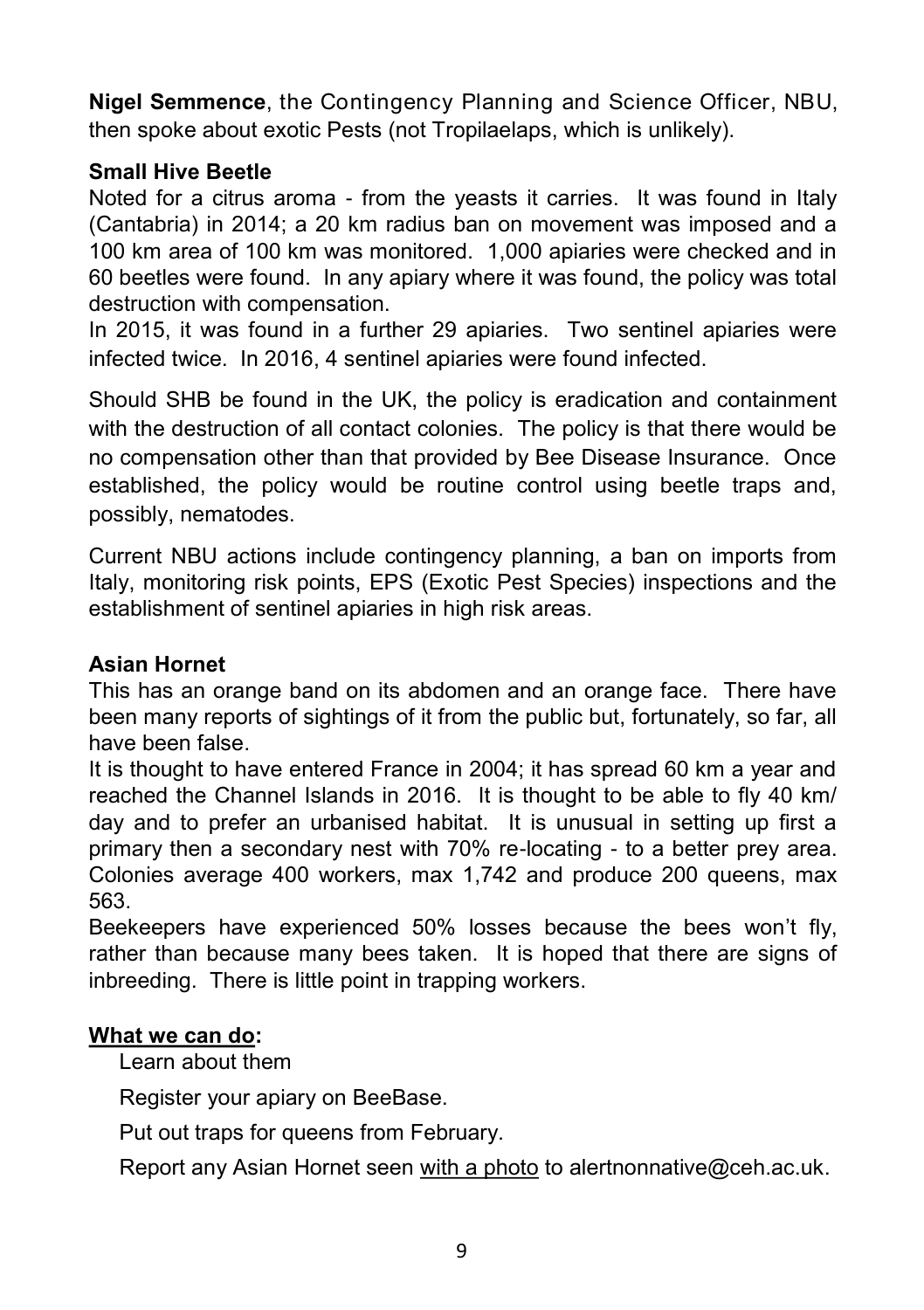**Nigel Semmence**, the Contingency Planning and Science Officer, NBU, then spoke about exotic Pests (not Tropilaelaps, which is unlikely).

#### **Small Hive Beetle**

Noted for a citrus aroma - from the yeasts it carries. It was found in Italy (Cantabria) in 2014; a 20 km radius ban on movement was imposed and a 100 km area of 100 km was monitored. 1,000 apiaries were checked and in 60 beetles were found. In any apiary where it was found, the policy was total destruction with compensation.

In 2015, it was found in a further 29 apiaries. Two sentinel apiaries were infected twice. In 2016, 4 sentinel apiaries were found infected.

Should SHB be found in the UK, the policy is eradication and containment with the destruction of all contact colonies. The policy is that there would be no compensation other than that provided by Bee Disease Insurance. Once established, the policy would be routine control using beetle traps and, possibly, nematodes.

Current NBU actions include contingency planning, a ban on imports from Italy, monitoring risk points, EPS (Exotic Pest Species) inspections and the establishment of sentinel apiaries in high risk areas.

#### **Asian Hornet**

This has an orange band on its abdomen and an orange face. There have been many reports of sightings of it from the public but, fortunately, so far, all have been false.

It is thought to have entered France in 2004; it has spread 60 km a year and reached the Channel Islands in 2016. It is thought to be able to fly 40 km/ day and to prefer an urbanised habitat. It is unusual in setting up first a primary then a secondary nest with 70% re-locating - to a better prey area. Colonies average 400 workers, max 1,742 and produce 200 queens, max 563.

Beekeepers have experienced 50% losses because the bees won't fly, rather than because many bees taken. It is hoped that there are signs of inbreeding. There is little point in trapping workers.

#### **What we can do:**

Learn about them

Register your apiary on BeeBase.

Put out traps for queens from February.

Report any Asian Hornet seen with a photo to [alertnonnative@ceh.ac.uk.](mailto:alertnonnative@ceh.ac.uk)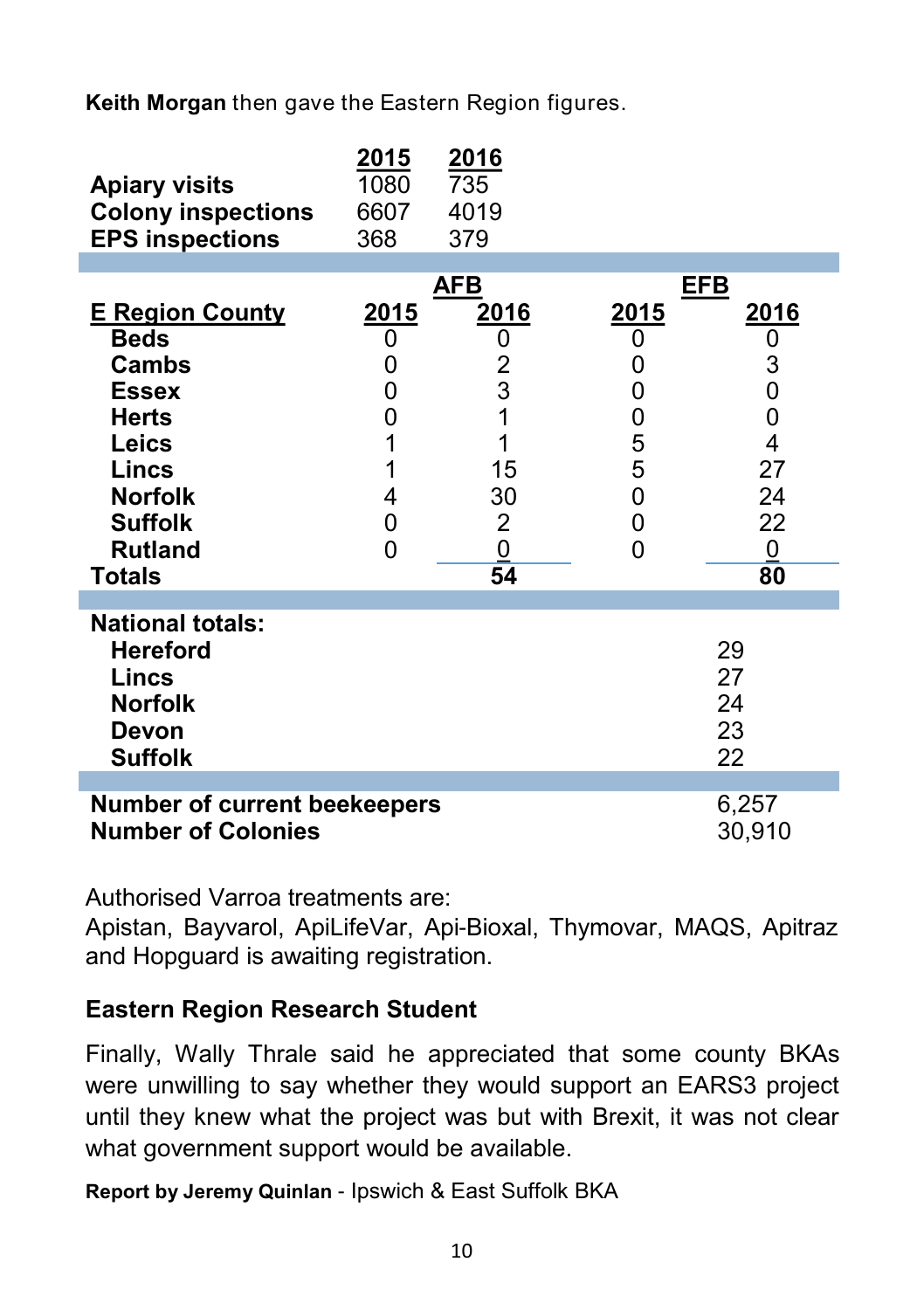**Keith Morgan** then gave the Eastern Region figures.

| <b>Apiary visits</b><br><b>Colony inspections</b><br><b>EPS inspections</b>                                                                                                    | 2015<br>1080<br>6607<br>368                               | 2016<br>735<br>4019<br>379                                                 |                                                                         |                                                                                                        |
|--------------------------------------------------------------------------------------------------------------------------------------------------------------------------------|-----------------------------------------------------------|----------------------------------------------------------------------------|-------------------------------------------------------------------------|--------------------------------------------------------------------------------------------------------|
| <b>E Region County</b><br><b>Beds</b><br><b>Cambs</b><br><b>Essex</b><br><b>Herts</b><br>Leics<br>Lincs<br><b>Norfolk</b><br><b>Suffolk</b><br><b>Rutland</b><br><b>Totals</b> | <u> 2015</u><br>0<br>0<br>0<br>0<br>1<br>1<br>4<br>0<br>0 | <u>AFB</u><br>2016<br>0<br>2<br>$\overline{3}$<br>15<br>30<br>2<br>0<br>54 | <u>EFB</u><br><u> 2015</u><br>0<br>0<br>0<br>0<br>5<br>5<br>0<br>0<br>0 | <u>2016</u><br>0<br>3<br>0<br>$\mathbf{0}$<br>$\overline{4}$<br>27<br>24<br>22<br>$\overline{0}$<br>80 |
| <b>National totals:</b><br><b>Hereford</b><br>Lincs<br><b>Norfolk</b><br>Devon<br><b>Suffolk</b>                                                                               |                                                           |                                                                            |                                                                         | 29<br>27<br>24<br>23<br>22                                                                             |
| 6,257<br><b>Number of current beekeepers</b><br><b>Number of Colonies</b>                                                                                                      |                                                           |                                                                            |                                                                         | 30,910                                                                                                 |

Authorised Varroa treatments are:

Apistan, Bayvarol, ApiLifeVar, Api-Bioxal, Thymovar, MAQS, Apitraz and Hopguard is awaiting registration.

#### **Eastern Region Research Student**

Finally, Wally Thrale said he appreciated that some county BKAs were unwilling to say whether they would support an EARS3 project until they knew what the project was but with Brexit, it was not clear what government support would be available.

**Report by Jeremy Quinlan** - Ipswich & East Suffolk BKA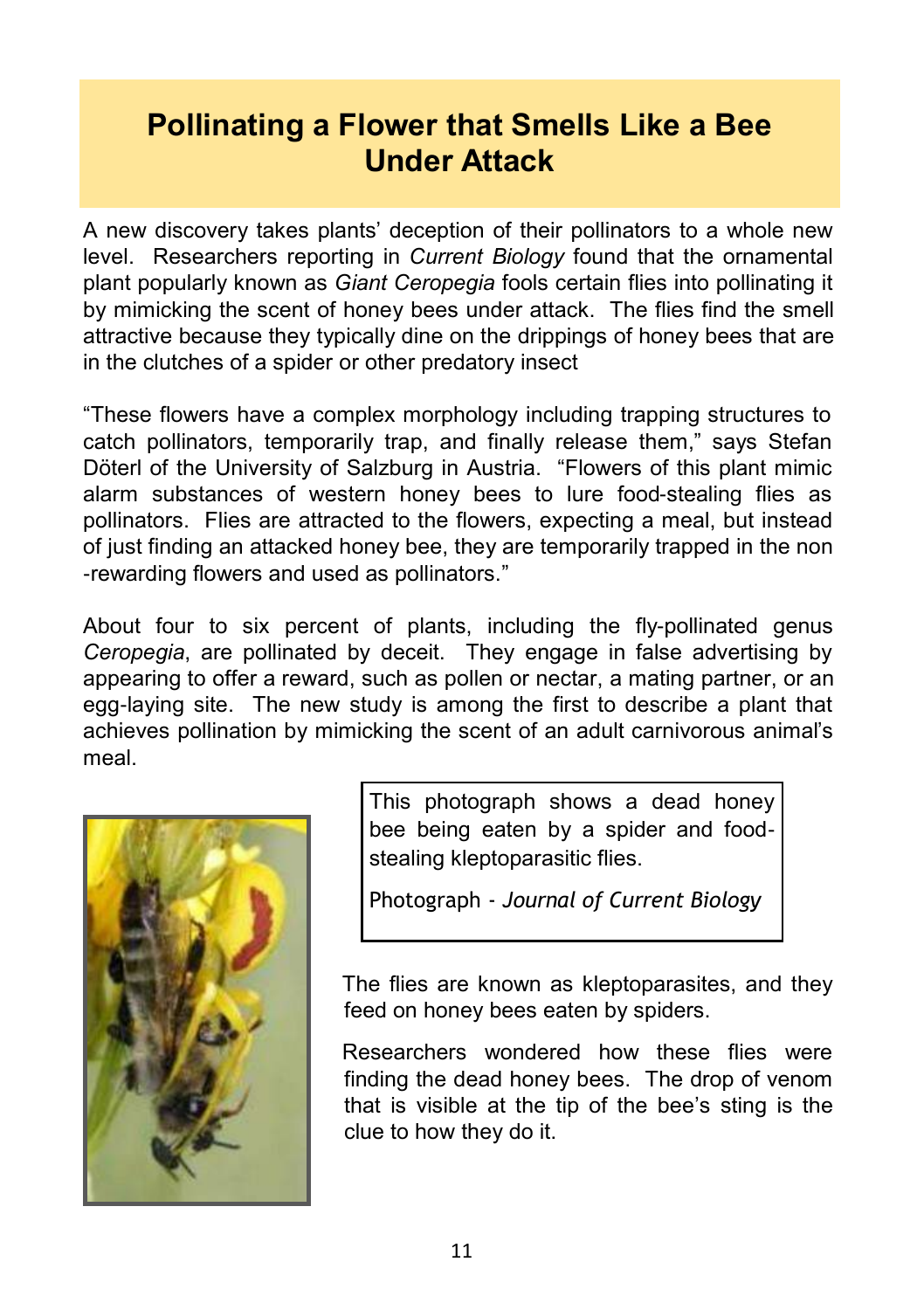## **Pollinating a Flower that Smells Like a Bee Under Attack**

A new discovery takes plants' deception of their pollinators to a whole new level. Researchers reporting in *Current Biology* found that the ornamental plant popularly known as *Giant Ceropegia* fools certain flies into pollinating it by mimicking the scent of honey bees under attack. The flies find the smell attractive because they typically dine on the drippings of honey bees that are in the clutches of a spider or other predatory insect

"These flowers have a complex morphology including trapping structures to catch pollinators, temporarily trap, and finally release them," says Stefan Döterl of the University of Salzburg in Austria. "Flowers of this plant mimic alarm substances of western honey bees to lure food-stealing flies as pollinators. Flies are attracted to the flowers, expecting a meal, but instead of just finding an attacked honey bee, they are temporarily trapped in the non -rewarding flowers and used as pollinators."

About four to six percent of plants, including the fly-pollinated genus *Ceropegia*, are pollinated by deceit. They engage in false advertising by appearing to offer a reward, such as pollen or nectar, a mating partner, or an egg-laying site. The new study is among the first to describe a plant that achieves pollination by mimicking the scent of an adult carnivorous animal's meal.



This photograph shows a dead honey bee being eaten by a spider and foodstealing kleptoparasitic flies.

Photograph - *Journal of Current Biology*

The flies are known as kleptoparasites, and they feed on honey bees eaten by spiders.

Researchers wondered how these flies were finding the dead honey bees. The drop of venom that is visible at the tip of the bee's sting is the clue to how they do it.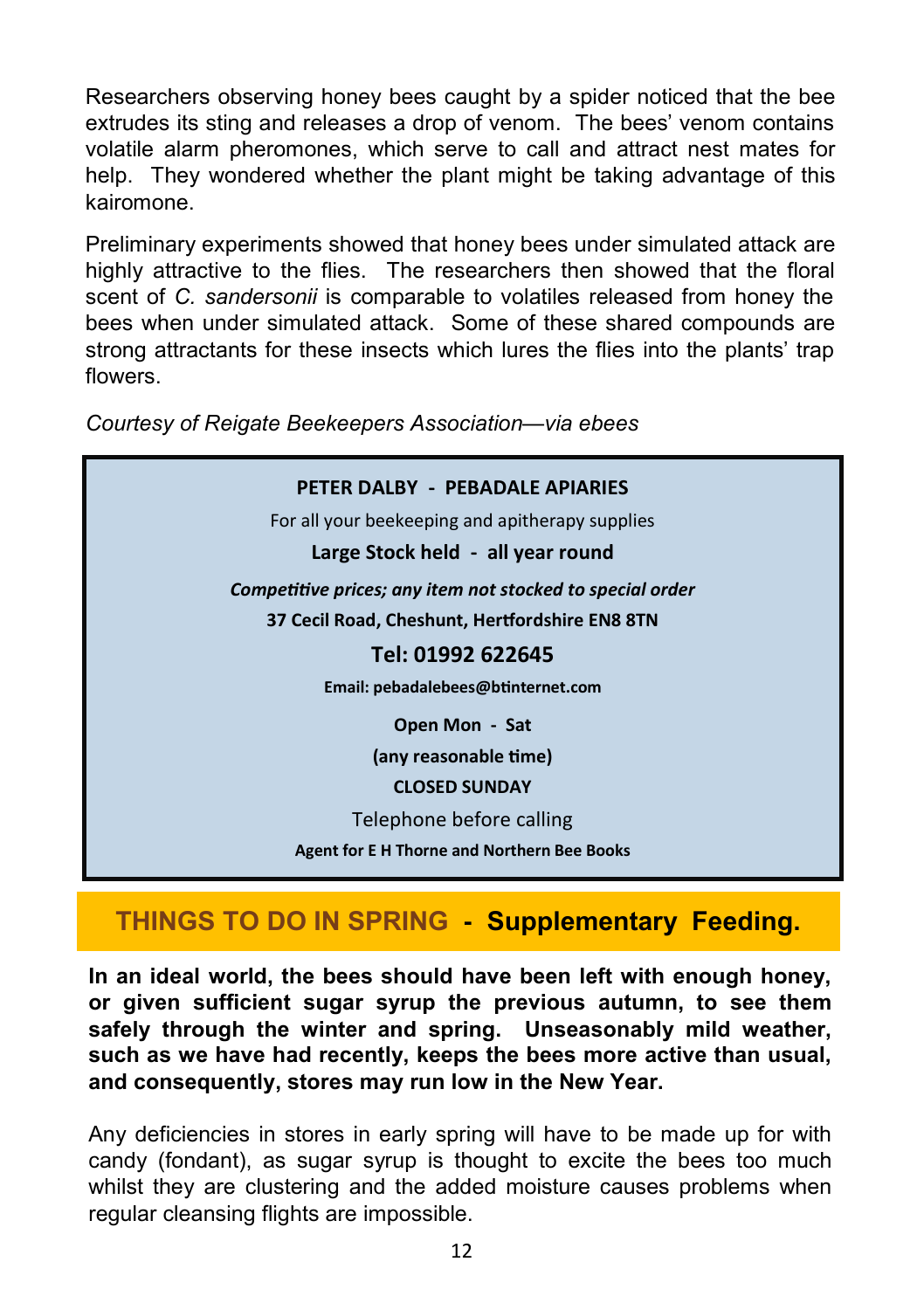Researchers observing honey bees caught by a spider noticed that the bee extrudes its sting and releases a drop of venom. The bees' venom contains volatile alarm pheromones, which serve to call and attract nest mates for help. They wondered whether the plant might be taking advantage of this kairomone.

Preliminary experiments showed that honey bees under simulated attack are highly attractive to the flies. The researchers then showed that the floral scent of *C. sandersonii* is comparable to volatiles released from honey the bees when under simulated attack. Some of these shared compounds are strong attractants for these insects which lures the flies into the plants' trap flowers.

**PETER DALBY - PEBADALE APIARIES** For all your beekeeping and apitherapy supplies **Large Stock held - all year round** *Competitive prices; any item not stocked to special order* **37 Cecil Road, Cheshunt, Hertfordshire EN8 8TN Tel: 01992 622645 Email: pebadalebees@btinternet.com Open Mon - Sat (any reasonable time) CLOSED SUNDAY** Telephone before calling **Agent for E H Thorne and Northern Bee Books**

#### *Courtesy of Reigate Beekeepers Association—via ebees*

#### **THINGS TO DO IN SPRING - Supplementary Feeding.**

**In an ideal world, the bees should have been left with enough honey, or given sufficient sugar syrup the previous autumn, to see them safely through the winter and spring. Unseasonably mild weather, such as we have had recently, keeps the bees more active than usual, and consequently, stores may run low in the New Year.**

Any deficiencies in stores in early spring will have to be made up for with candy (fondant), as sugar syrup is thought to excite the bees too much whilst they are clustering and the added moisture causes problems when regular cleansing flights are impossible.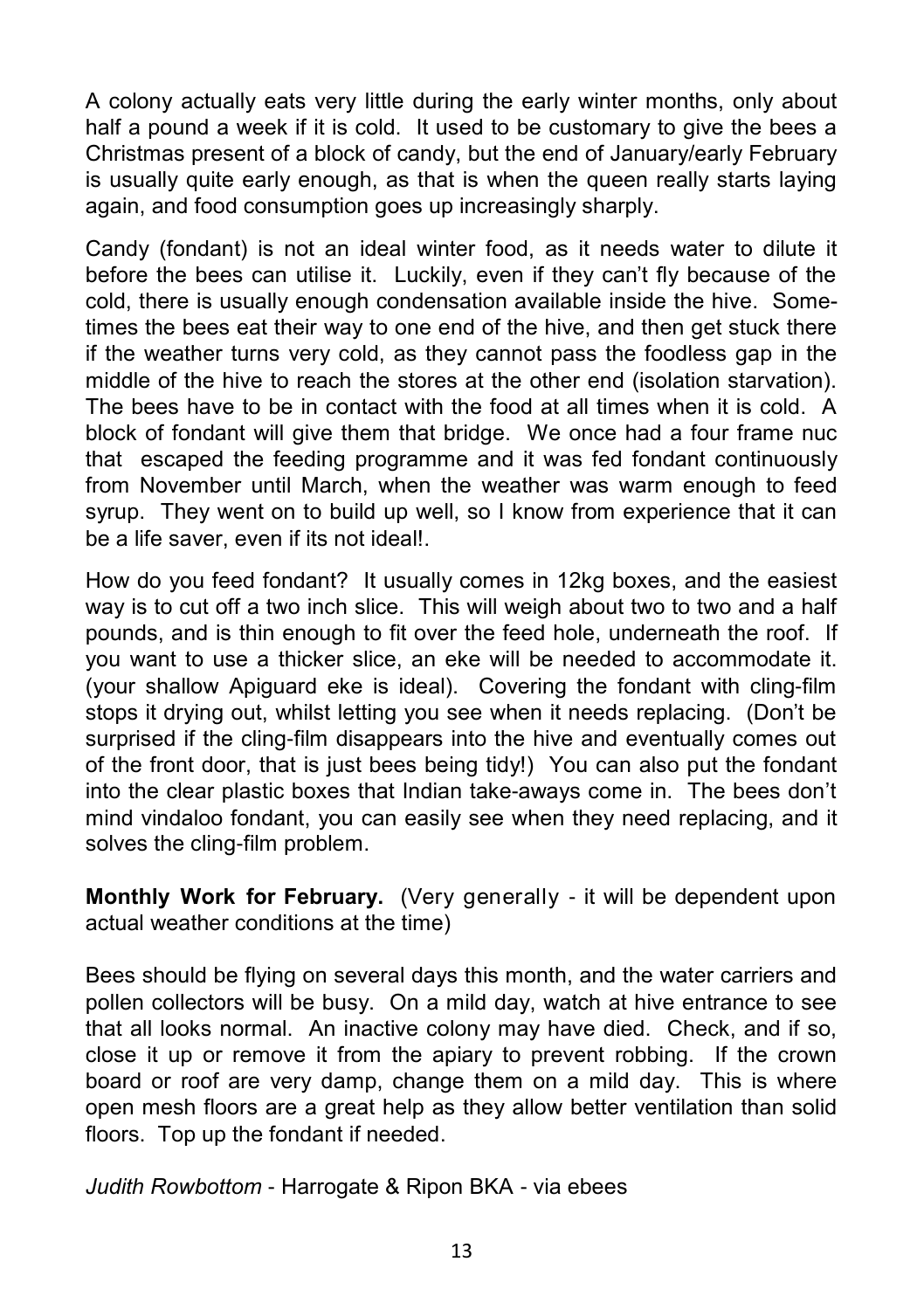A colony actually eats very little during the early winter months, only about half a pound a week if it is cold. It used to be customary to give the bees a Christmas present of a block of candy, but the end of January/early February is usually quite early enough, as that is when the queen really starts laying again, and food consumption goes up increasingly sharply.

Candy (fondant) is not an ideal winter food, as it needs water to dilute it before the bees can utilise it. Luckily, even if they can't fly because of the cold, there is usually enough condensation available inside the hive. Sometimes the bees eat their way to one end of the hive, and then get stuck there if the weather turns very cold, as they cannot pass the foodless gap in the middle of the hive to reach the stores at the other end (isolation starvation). The bees have to be in contact with the food at all times when it is cold. A block of fondant will give them that bridge. We once had a four frame nuc that escaped the feeding programme and it was fed fondant continuously from November until March, when the weather was warm enough to feed syrup. They went on to build up well, so I know from experience that it can be a life saver, even if its not ideal!.

How do you feed fondant? It usually comes in 12kg boxes, and the easiest way is to cut off a two inch slice. This will weigh about two to two and a half pounds, and is thin enough to fit over the feed hole, underneath the roof. If you want to use a thicker slice, an eke will be needed to accommodate it. (your shallow Apiguard eke is ideal). Covering the fondant with cling-film stops it drying out, whilst letting you see when it needs replacing. (Don't be surprised if the cling-film disappears into the hive and eventually comes out of the front door, that is just bees being tidy!) You can also put the fondant into the clear plastic boxes that Indian take-aways come in. The bees don't mind vindaloo fondant, you can easily see when they need replacing, and it solves the cling-film problem.

**Monthly Work for February.** (Very generally - it will be dependent upon actual weather conditions at the time)

Bees should be flying on several days this month, and the water carriers and pollen collectors will be busy. On a mild day, watch at hive entrance to see that all looks normal. An inactive colony may have died. Check, and if so, close it up or remove it from the apiary to prevent robbing. If the crown board or roof are very damp, change them on a mild day. This is where open mesh floors are a great help as they allow better ventilation than solid floors. Top up the fondant if needed.

*Judith Rowbottom* - Harrogate & Ripon BKA - via ebees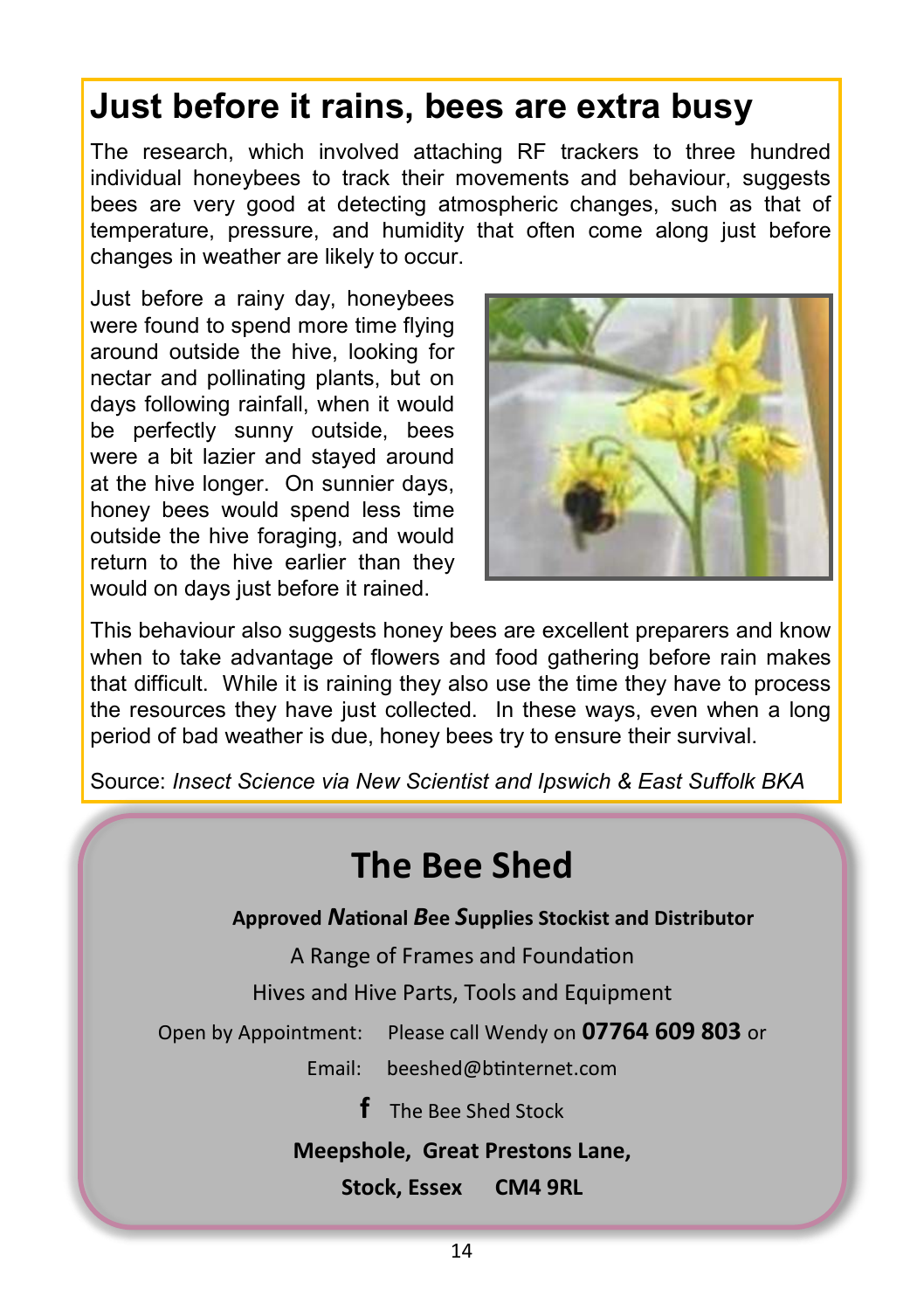## **Just before it rains, bees are extra busy**

The research, which involved attaching RF trackers to three hundred individual honeybees to track their movements and behaviour, suggests bees are very good at detecting atmospheric changes, such as that of temperature, pressure, and humidity that often come along just before changes in weather are likely to occur.

Just before a rainy day, honeybees were found to spend more time flying around outside the hive, looking for nectar and pollinating plants, but on days following rainfall, when it would be perfectly sunny outside, bees were a bit lazier and stayed around at the hive longer. On sunnier days, honey bees would spend less time outside the hive foraging, and would return to the hive earlier than they would on days just before it rained.



This behaviour also suggests honey bees are excellent preparers and know when to take advantage of flowers and food gathering before rain makes that difficult. While it is raining they also use the time they have to process the resources they have just collected. In these ways, even when a long period of bad weather is due, honey bees try to ensure their survival.

Source: *Insect Science via New Scientist and Ipswich & East Suffolk BKA*

## **The Bee Shed**

**Approved** *N***ational** *B***ee** *S***upplies Stockist and Distributor**

A Range of Frames and Foundation

Hives and Hive Parts, Tools and Equipment

Open by Appointment: Please call Wendy on **07764 609 803** or

Email: [beeshed@btinternet.com](mailto:beeshed@btinternet.com) 

**f** The Bee Shed Stock

#### **Meepshole, Great Prestons Lane,**

**Stock, Essex CM4 9RL**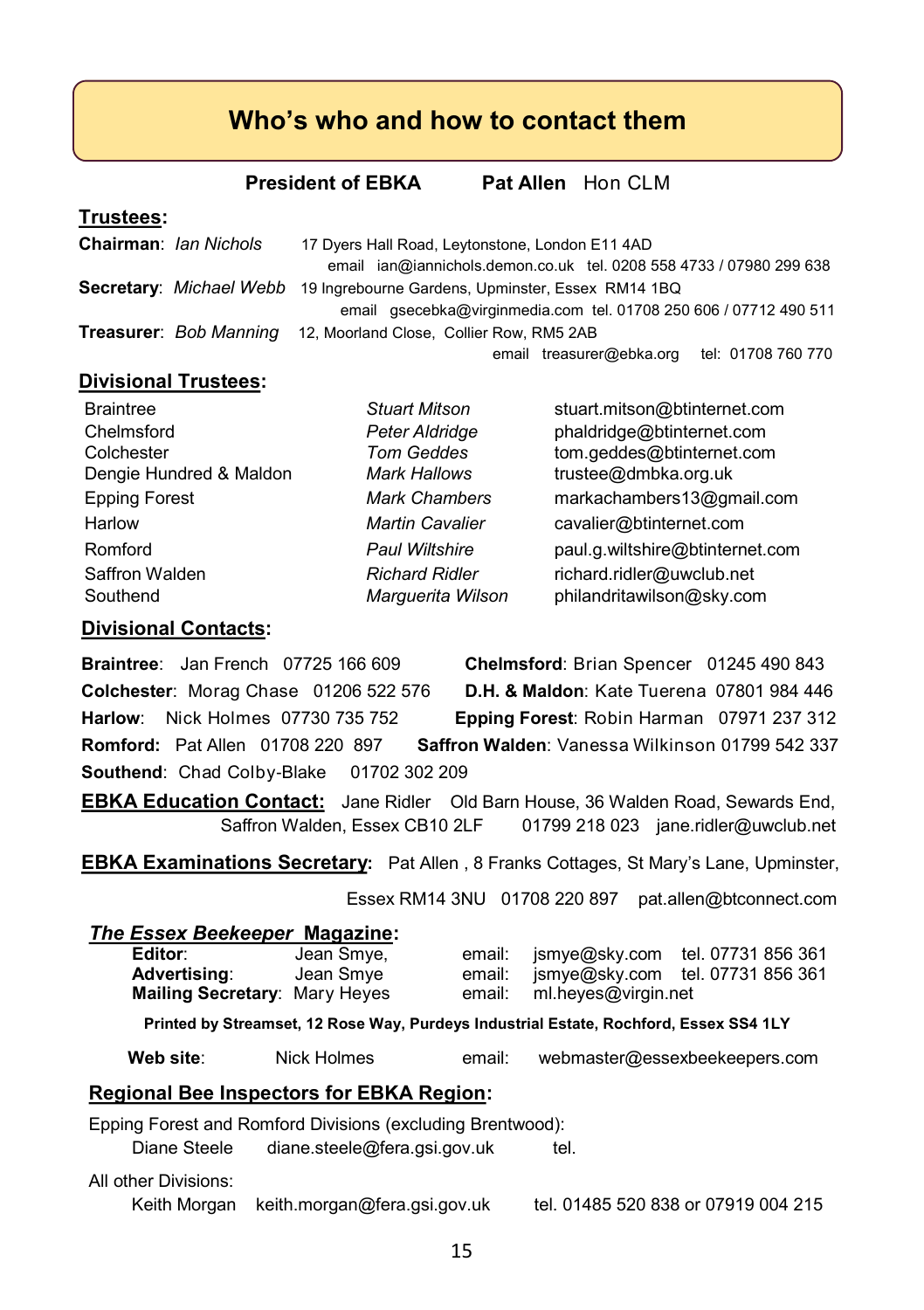#### **Who's who and how to contact them**

**President of EBKA** Pat Allen Hon CLM

#### **Trustees:**

| Chairman: Ian Nichols         | 17 Dyers Hall Road, Leytonstone, London E11 4AD                     |  |  |  |
|-------------------------------|---------------------------------------------------------------------|--|--|--|
|                               | email ian@iannichols.demon.co.uk tel. 0208 558 4733 / 07980 299 638 |  |  |  |
| Secretary: Michael Webb       | 19 Ingrebourne Gardens, Upminster, Essex RM14 1BQ                   |  |  |  |
|                               | email qsecebka@virginmedia.com tel. 01708 250 606 / 07712 490 511   |  |  |  |
| <b>Treasurer: Bob Manning</b> | 12, Moorland Close, Collier Row, RM5 2AB                            |  |  |  |
|                               | email treasurer@ebka.org tel: 01708 760 770                         |  |  |  |

#### **Divisional Trustees:**

| <b>Braintree</b>        | <b>Stuart Mitson</b>   | stuart.mitson@btinternet.com    |
|-------------------------|------------------------|---------------------------------|
| Chelmsford              | Peter Aldridge         | phaldridge@btinternet.com       |
| Colchester              | <b>Tom Geddes</b>      | tom.geddes@btinternet.com       |
| Dengie Hundred & Maldon | <b>Mark Hallows</b>    | trustee@dmbka.org.uk            |
| <b>Epping Forest</b>    | <b>Mark Chambers</b>   | markachambers13@gmail.com       |
| Harlow                  | <b>Martin Cavalier</b> | cavalier@btinternet.com         |
| Romford                 | <b>Paul Wiltshire</b>  | paul.g.wiltshire@btinternet.com |
| Saffron Walden          | <b>Richard Ridler</b>  | richard.ridler@uwclub.net       |
| Southend                | Marquerita Wilson      | philandritawilson@sky.com       |

#### **Divisional Contacts:**

**Braintree**: Jan French 07725 166 609 **Chelmsford**: Brian Spencer 01245 490 843 **Colchester**: Morag Chase 01206 522 576 **D.H. & Maldon**: Kate Tuerena 07801 984 446 **Harlow**: Nick Holmes 07730 735 752 **Epping Forest**: Robin Harman 07971 237 312 **Romford:** Pat Allen 01708 220 897 **Saffron Walden**: Vanessa Wilkinson 01799 542 337 **Southend: Chad Colby-Blake 01702 302 209** 

**EBKA Education Contact:** Jane Ridler Old Barn House, 36 Walden Road, Sewards End, Saffron Walden, Essex CB10 2LF 01799 218 023 jane.ridler@uwclub.net

**EBKA Examinations Secretary:** Pat Allen , 8 Franks Cottages, St Mary's Lane, Upminster,

Essex RM14 3NU 01708 220 897 pat.allen@btconnect.com

#### *The Essex Beekeeper* **Magazine:**

| Editor:<br>Advertising:<br>Mailing Secretary: Mary Heyes                              | Jean Smye,<br>Jean Smye | email:<br>email:<br>email: | ml.heves@virgin.net | ismye@sky.com tel. 07731 856 361<br>jsmye@sky.com tel. 07731 856 361 |  |
|---------------------------------------------------------------------------------------|-------------------------|----------------------------|---------------------|----------------------------------------------------------------------|--|
| Printed by Streamset, 12 Rose Way, Purdeys Industrial Estate, Rochford, Essex SS4 1LY |                         |                            |                     |                                                                      |  |
| Web site:                                                                             | Nick Holmes             | email:                     |                     | webmaster@essexbeekeepers.com                                        |  |

### **Regional Bee Inspectors for EBKA Region:**

Epping Forest and Romford Divisions (excluding Brentwood):

Diane Steele diane.steele@fera.gsi.gov.uk tel.

All other Divisions:

Keith Morgan keith.morgan@fera.gsi.gov.uk tel. 01485 520 838 or 07919 004 215